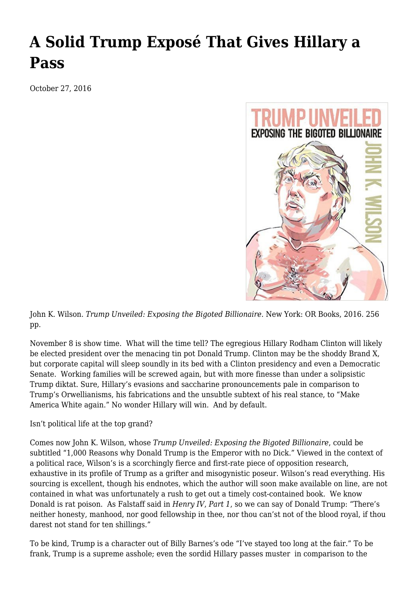## **[A Solid Trump Exposé That Gives Hillary a](https://newpol.org/solid-trump-expos%c3%a9-gives-hillary-pass/) [Pass](https://newpol.org/solid-trump-expos%c3%a9-gives-hillary-pass/)**

October 27, 2016



John K. Wilson. *Trump Unveiled: Exposing the Bigoted Billionaire.* New York: OR Books, 2016. 256 pp.

November 8 is show time. What will the time tell? The egregious Hillary Rodham Clinton will likely be elected president over the menacing tin pot Donald Trump. Clinton may be the shoddy Brand X, but corporate capital will sleep soundly in its bed with a Clinton presidency and even a Democratic Senate. Working families will be screwed again, but with more finesse than under a solipsistic Trump diktat. Sure, Hillary's evasions and saccharine pronouncements pale in comparison to Trump's Orwellianisms, his fabrications and the unsubtle subtext of his real stance, to "Make America White again." No wonder Hillary will win. And by default.

Isn't political life at the top grand?

Comes now John K. Wilson, whose *Trump Unveiled: Exposing the Bigoted Billionaire*, could be subtitled "1,000 Reasons why Donald Trump is the Emperor with no Dick." Viewed in the context of a political race, Wilson's is a scorchingly fierce and first-rate piece of opposition research, exhaustive in its profile of Trump as a grifter and misogynistic poseur. Wilson's read everything. His sourcing is excellent, though his endnotes, which the author will soon make available on line, are not contained in what was unfortunately a rush to get out a timely cost-contained book. We know Donald is rat poison. As Falstaff said in *Henry IV*, *Part 1*, so we can say of Donald Trump: "There's neither honesty, manhood, nor good fellowship in thee, nor thou can'st not of the blood royal, if thou darest not stand for ten shillings."

To be kind, Trump is a character out of Billy Barnes's ode "I've stayed too long at the fair." To be frank, Trump is a supreme asshole; even the sordid Hillary passes muster in comparison to the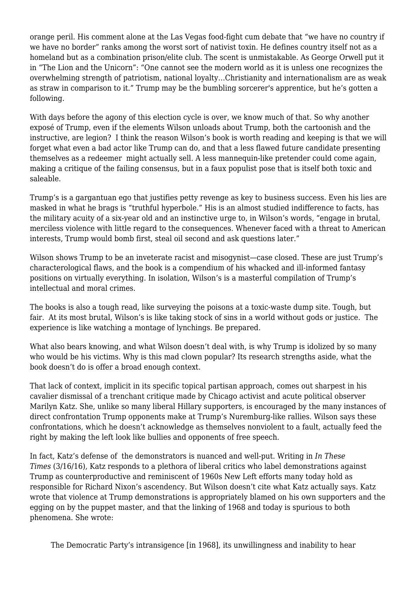orange peril. His comment alone at the Las Vegas food-fight cum debate that "we have no country if we have no border" ranks among the worst sort of nativist toxin. He defines country itself not as a homeland but as a combination prison/elite club. The scent is unmistakable. As George Orwell put it in "The Lion and the Unicorn": "One cannot see the modern world as it is unless one recognizes the overwhelming strength of patriotism, national loyalty…Christianity and internationalism are as weak as straw in comparison to it." Trump may be the bumbling sorcerer's apprentice, but he's gotten a following.

With days before the agony of this election cycle is over, we know much of that. So why another exposé of Trump, even if the elements Wilson unloads about Trump, both the cartoonish and the instructive, are legion? I think the reason Wilson's book is worth reading and keeping is that we will forget what even a bad actor like Trump can do, and that a less flawed future candidate presenting themselves as a redeemer might actually sell. A less mannequin-like pretender could come again, making a critique of the failing consensus, but in a faux populist pose that is itself both toxic and saleable.

Trump's is a gargantuan ego that justifies petty revenge as key to business success. Even his lies are masked in what he brags is "truthful hyperbole." His is an almost studied indifference to facts, has the military acuity of a six-year old and an instinctive urge to, in Wilson's words, "engage in brutal, merciless violence with little regard to the consequences. Whenever faced with a threat to American interests, Trump would bomb first, steal oil second and ask questions later."

Wilson shows Trump to be an inveterate racist and misogynist—case closed. These are just Trump's characterological flaws, and the book is a compendium of his whacked and ill-informed fantasy positions on virtually everything. In isolation, Wilson's is a masterful compilation of Trump's intellectual and moral crimes.

The books is also a tough read, like surveying the poisons at a toxic-waste dump site. Tough, but fair. At its most brutal, Wilson's is like taking stock of sins in a world without gods or justice. The experience is like watching a montage of lynchings. Be prepared.

What also bears knowing, and what Wilson doesn't deal with, is why Trump is idolized by so many who would be his victims. Why is this mad clown popular? Its research strengths aside, what the book doesn't do is offer a broad enough context.

That lack of context, implicit in its specific topical partisan approach, comes out sharpest in his cavalier dismissal of a trenchant critique made by Chicago activist and acute political observer Marilyn Katz. She, unlike so many liberal Hillary supporters, is encouraged by the many instances of direct confrontation Trump opponents make at Trump's Nuremburg-like rallies. Wilson says these confrontations, which he doesn't acknowledge as themselves nonviolent to a fault, actually feed the right by making the left look like bullies and opponents of free speech.

In fact, Katz's defense of the demonstrators is nuanced and well-put. Writing in *In These Times* (3/16/16), Katz responds to a plethora of liberal critics who label demonstrations against Trump as counterproductive and reminiscent of 1960s New Left efforts many today hold as responsible for Richard Nixon's ascendency. But Wilson doesn't cite what Katz actually says. Katz wrote that violence at Trump demonstrations is appropriately blamed on his own supporters and the egging on by the puppet master, and that the linking of 1968 and today is spurious to both phenomena. She wrote:

The Democratic Party's intransigence [in 1968], its unwillingness and inability to hear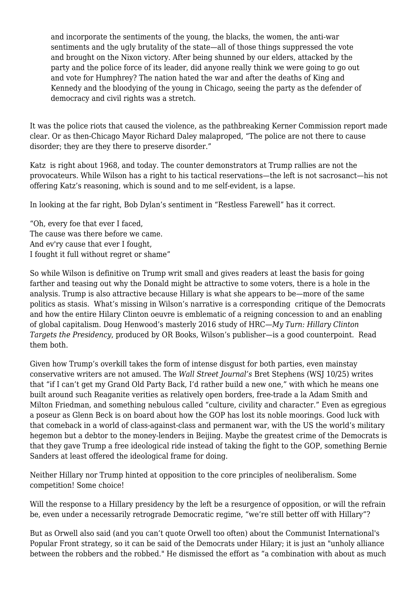and incorporate the sentiments of the young, the blacks, the women, the anti-war sentiments and the ugly brutality of the state—all of those things suppressed the vote and brought on the Nixon victory. After being shunned by our elders, attacked by the party and the police force of its leader, did anyone really think we were going to go out and vote for Humphrey? The nation hated the war and after the deaths of King and Kennedy and the bloodying of the young in Chicago, seeing the party as the defender of democracy and civil rights was a stretch.

It was the police riots that caused the violence, as the pathbreaking Kerner Commission report made clear. Or as then-Chicago Mayor Richard Daley malaproped, "The police are not there to cause disorder; they are they there to preserve disorder."

Katz is right about 1968, and today. The counter demonstrators at Trump rallies are not the provocateurs. While Wilson has a right to his tactical reservations—the left is not sacrosanct—his not offering Katz's reasoning, which is sound and to me self-evident, is a lapse.

In looking at the far right, Bob Dylan's sentiment in "Restless Farewell" has it correct.

"Oh, every foe that ever I faced, The cause was there before we came. And ev'ry cause that ever I fought, I fought it full without regret or shame"

So while Wilson is definitive on Trump writ small and gives readers at least the basis for going farther and teasing out why the Donald might be attractive to some voters, there is a hole in the analysis. Trump is also attractive because Hillary is what she appears to be—more of the same politics as stasis. What's missing in Wilson's narrative is a corresponding critique of the Democrats and how the entire Hilary Clinton oeuvre is emblematic of a reigning concession to and an enabling of global capitalism. Doug Henwood's masterly 2016 study of HRC—*My Turn: Hillary Clinton Targets the Presidency*, produced by OR Books, Wilson's publisher—is a good counterpoint. Read them both.

Given how Trump's overkill takes the form of intense disgust for both parties, even mainstay conservative writers are not amused. The *Wall Street Journal's* Bret Stephens (WSJ 10/25) writes that "if I can't get my Grand Old Party Back, I'd rather build a new one," with which he means one built around such Reaganite verities as relatively open borders, free-trade a la Adam Smith and Milton Friedman, and something nebulous called "culture, civility and character." Even as egregious a poseur as Glenn Beck is on board about how the GOP has lost its noble moorings. Good luck with that comeback in a world of class-against-class and permanent war, with the US the world's military hegemon but a debtor to the money-lenders in Beijing. Maybe the greatest crime of the Democrats is that they gave Trump a free ideological ride instead of taking the fight to the GOP, something Bernie Sanders at least offered the ideological frame for doing.

Neither Hillary nor Trump hinted at opposition to the core principles of neoliberalism. Some competition! Some choice!

Will the response to a Hillary presidency by the left be a resurgence of opposition, or will the refrain be, even under a necessarily retrograde Democratic regime, "we're still better off with Hillary"?

But as Orwell also said (and you can't quote Orwell too often) about the Communist International's Popular Front strategy, so it can be said of the Democrats under Hilary; it is just an "unholy alliance between the robbers and the robbed." He dismissed the effort as "a combination with about as much